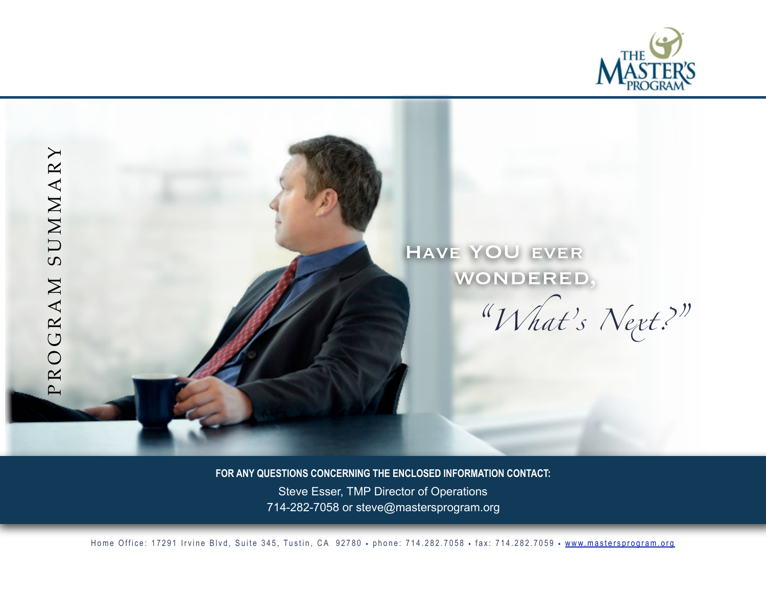



**FOR ANY QUESTIONS CONCERNING THE ENCLOSED INFORMATION CONTACT:** 

 Steve Esser, TMP Director of Operations 714-282-7058 or steve@mastersprogram.org

Home Office: 17291 Irvine Blvd, Suite 345, Tustin, CA 92780 • phone: 714.282.7058 • fax: 714.282.7059 • [www.mastersprogram.org](http://www.mastersprogram.org)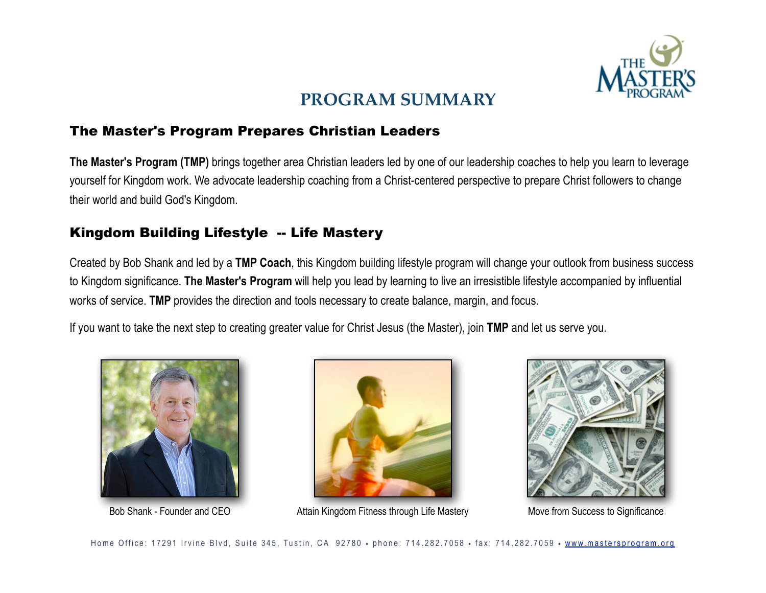

# **PROGRAM SUMMARY**

## The Master's Program Prepares Christian Leaders

**The Master's Program (TMP)** brings together area Christian leaders led by one of our leadership coaches to help you learn to leverage yourself for Kingdom work. We advocate leadership coaching from a Christ-centered perspective to prepare Christ followers to change their world and build God's Kingdom.

# Kingdom Building Lifestyle -- Life Mastery

Created by Bob Shank and led by a **TMP Coach**, this Kingdom building lifestyle program will change your outlook from business success to Kingdom significance. **The Master's Program** will help you lead by learning to live an irresistible lifestyle accompanied by influential works of service. **TMP** provides the direction and tools necessary to create balance, margin, and focus.

If you want to take the next step to creating greater value for Christ Jesus (the Master), join **TMP** and let us serve you.





Bob Shank - Founder and CEO **Attain Kingdom Fitness through Life Mastery** Move from Success to Significance

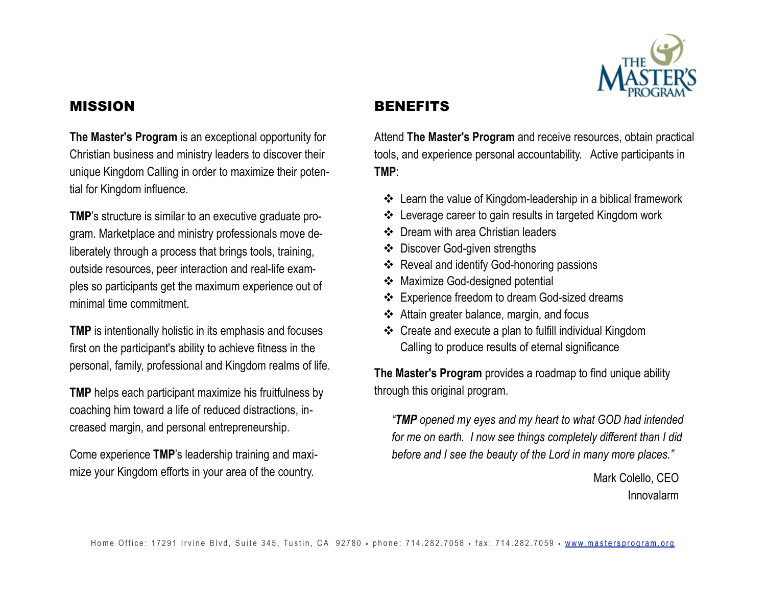

#### MISSION

#### **BENEFITS**

**The Master's Program** is an exceptional opportunity for Christian business and ministry leaders to discover their unique Kingdom Calling in order to maximize their potential for Kingdom influence.

**TMP**'s structure is similar to an executive graduate program. Marketplace and ministry professionals move deliberately through a process that brings tools, training, outside resources, peer interaction and real-life examples so participants get the maximum experience out of minimal time commitment.

**TMP** is intentionally holistic in its emphasis and focuses first on the participant's ability to achieve fitness in the personal, family, professional and Kingdom realms of life.

**TMP** helps each participant maximize his fruitfulness by coaching him toward a life of reduced distractions, increased margin, and personal entrepreneurship.

Come experience **TMP**'s leadership training and maximize your Kingdom efforts in your area of the country.

Attend **The Master's Program** and receive resources, obtain practical tools, and experience personal accountability. Active participants in **TMP**:

- ! Learn the value of Kingdom-leadership in a biblical framework
- ❖ Leverage career to gain results in targeted Kingdom work
- ❖ Dream with area Christian leaders
- ❖ Discover God-given strengths
- ❖ Reveal and identify God-honoring passions
- ◆ Maximize God-designed potential
- ! Experience freedom to dream God-sized dreams
- ! Attain greater balance, margin, and focus
- ! Create and execute a plan to fulfill individual Kingdom Calling to produce results of eternal significance

**The Master's Program** provides a roadmap to find unique ability through this original program.

*"TMP opened my eyes and my heart to what GOD had intended for me on earth. I now see things completely different than I did before and I see the beauty of the Lord in many more places."* 

> Mark Colello, CEO Innovalarm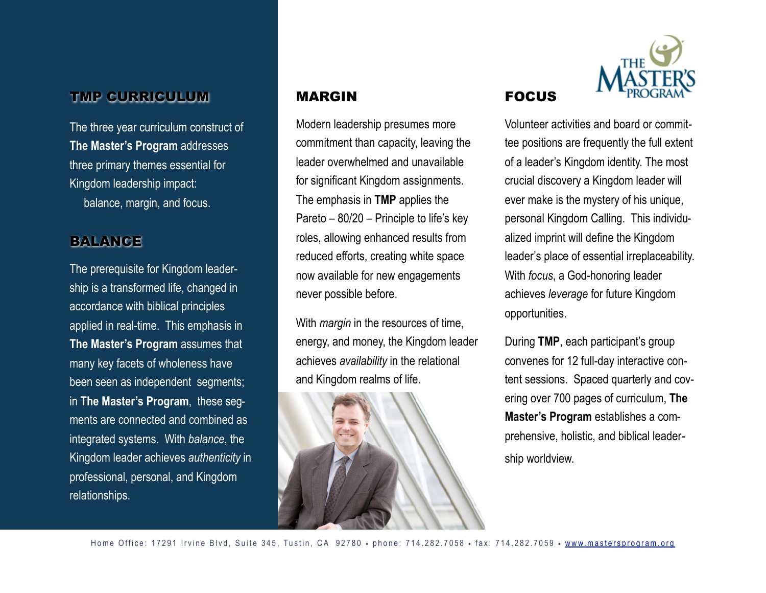# TMP CURRICULUM

The three year curriculum construct of **The Master's Program** addresses three primary themes essential for Kingdom leadership impact: balance, margin, and focus.

#### BALANCE

The prerequisite for Kingdom leadership is a transformed life, changed in accordance with biblical principles applied in real-time. This emphasis in **The Master's Program** assumes that many key facets of wholeness have been seen as independent segments; in **The Master's Program**, these segments are connected and combined as integrated systems. With *balance*, the Kingdom leader achieves *authenticity* in professional, personal, and Kingdom relationships.

#### MARGIN

Modern leadership presumes more commitment than capacity, leaving the leader overwhelmed and unavailable for significant Kingdom assignments. The emphasis in **TMP** applies the Pareto – 80/20 – Principle to life's key roles, allowing enhanced results from reduced efforts, creating white space now available for new engagements never possible before.

With *margin* in the resources of time, energy, and money, the Kingdom leader achieves *availability* in the relational and Kingdom realms of life.





Volunteer activities and board or committee positions are frequently the full extent of a leader's Kingdom identity. The most crucial discovery a Kingdom leader will ever make is the mystery of his unique, personal Kingdom Calling. This individualized imprint will define the Kingdom leader's place of essential irreplaceability. With *focus*, a God-honoring leader achieves *leverage* for future Kingdom opportunities.

FOCUS

During **TMP**, each participant's group convenes for 12 full-day interactive content sessions. Spaced quarterly and covering over 700 pages of curriculum, **The Master's Program** establishes a comprehensive, holistic, and biblical leadership worldview.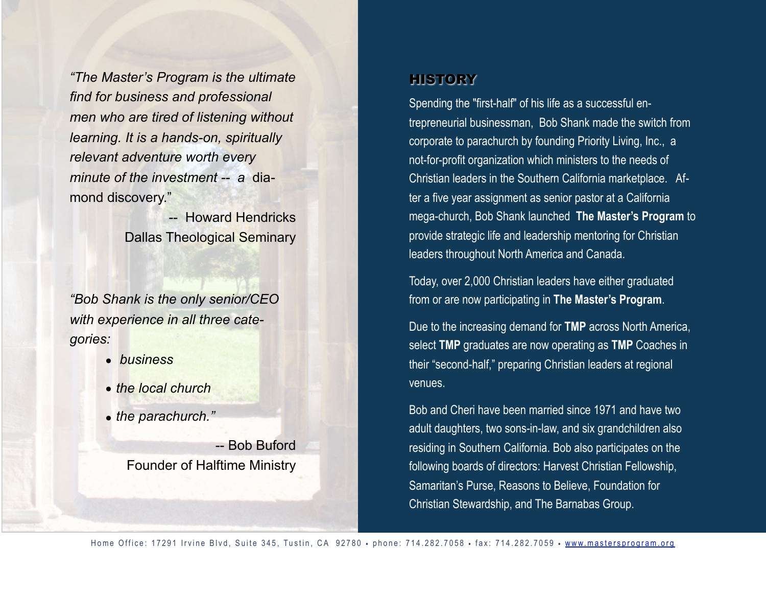*"The Master's Program is the ultimate find for business and professional men who are tired of listening without learning. It is a hands-on, spiritually relevant adventure worth every minute of the investment -- a* diamond discovery."

> -- Howard Hendricks Dallas Theological Seminary

*"Bob Shank is the only senior/CEO with experience in all three categories:* 

- • *business*
- • *the local church*
- • *the parachurch."*

-- Bob Buford Founder of Halftime Ministry

## **HISTORY**

Spending the "first-half" of his life as a successful entrepreneurial businessman, Bob Shank made the switch from corporate to parachurch by founding Priority Living, Inc., a not-for-profit organization which ministers to the needs of Christian leaders in the Southern California marketplace. After a five year assignment as senior pastor at a California mega-church, Bob Shank launched **The Master's Program** to provide strategic life and leadership mentoring for Christian leaders throughout North America and Canada.

Today, over 2,000 Christian leaders have either graduated from or are now participating in **The Master's Program**.

Due to the increasing demand for **TMP** across North America, select **TMP** graduates are now operating as **TMP** Coaches in their "second-half," preparing Christian leaders at regional venues.

Bob and Cheri have been married since 1971 and have two adult daughters, two sons-in-law, and six grandchildren also residing in Southern California. Bob also participates on the following boards of directors: Harvest Christian Fellowship, Samaritan's Purse, Reasons to Believe, Foundation for Christian Stewardship, and The Barnabas Group.

Home Office: 17291 Irvine Blvd, Suite 345, Tustin, CA 92780 • phone: 714.282.7058 • fax: 714.282.7059 • [www.mastersprogram.org](http://www.mastersprogram.org)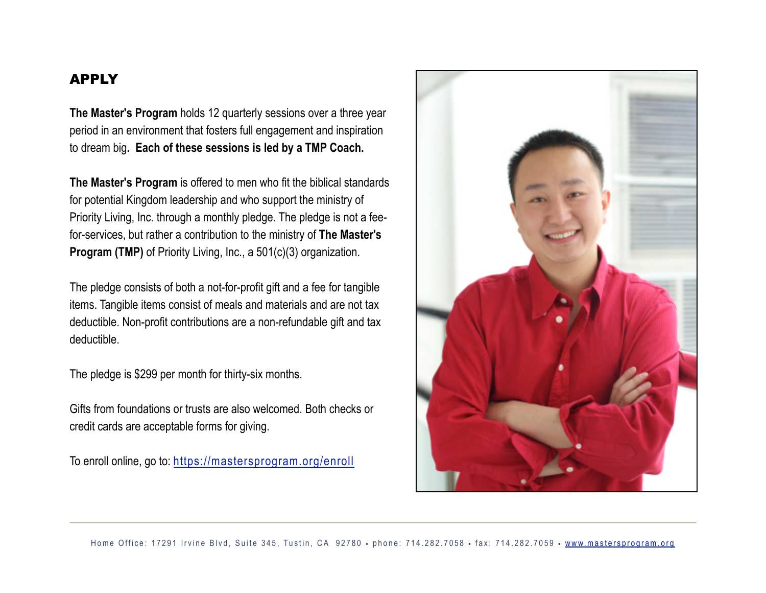#### APPLY

**The Master's Program** holds 12 quarterly sessions over a three year period in an environment that fosters full engagement and inspiration to dream big**. Each of these sessions is led by a TMP Coach.** 

**The Master's Program** is offered to men who fit the biblical standards for potential Kingdom leadership and who support the ministry of Priority Living, Inc. through a monthly pledge. The pledge is not a feefor-services, but rather a contribution to the ministry of **The Master's Program (TMP)** of Priority Living, Inc., a 501(c)(3) organization.

The pledge consists of both a not-for-profit gift and a fee for tangible items. Tangible items consist of meals and materials and are not tax deductible. Non-profit contributions are a non-refundable gift and tax deductible.

The pledge is \$299 per month for thirty-six months.

Gifts from foundations or trusts are also welcomed. Both checks or credit cards are acceptable forms for giving.

To enroll online, go to:<https://mastersprogram.org/enroll>